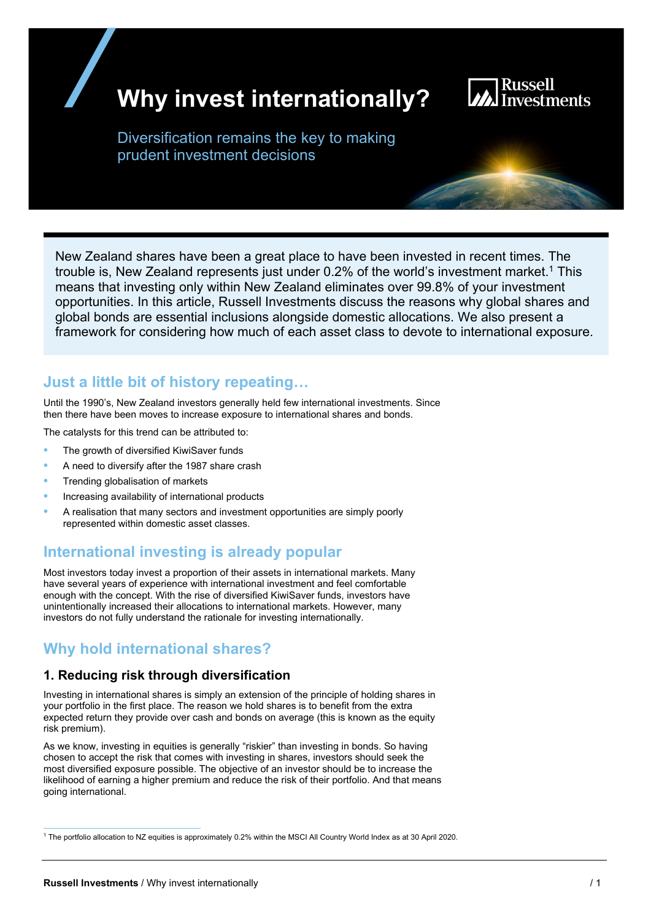# **Why invest internationally?**



Diversification remains the key to making prudent investment decisions

New Zealand shares have been a great place to have been invested in recent times. The trouble is. New Zealand represents just under  $0.2\%$  of the world's investment market.<sup>1</sup> This means that investing only within New Zealand eliminates over 99.8% of your investment opportunities. In this article, Russell Investments discuss the reasons why global shares and global bonds are essential inclusions alongside domestic allocations. We also present a framework for considering how much of each asset class to devote to international exposure.

# **Just a little bit of history repeating…**

Until the 1990's, New Zealand investors generally held few international investments. Since then there have been moves to increase exposure to international shares and bonds.

The catalysts for this trend can be attributed to:

- The growth of diversified KiwiSaver funds
- A need to diversify after the 1987 share crash
- Trending globalisation of markets
- Increasing availability of international products
- A realisation that many sectors and investment opportunities are simply poorly represented within domestic asset classes.

# **International investing is already popular**

Most investors today invest a proportion of their assets in international markets. Many have several years of experience with international investment and feel comfortable enough with the concept. With the rise of diversified KiwiSaver funds, investors have unintentionally increased their allocations to international markets. However, many investors do not fully understand the rationale for investing internationally.

# **Why hold international shares?**

### **1. Reducing risk through diversification**

Investing in international shares is simply an extension of the principle of holding shares in your portfolio in the first place. The reason we hold shares is to benefit from the extra expected return they provide over cash and bonds on average (this is known as the equity risk premium).

As we know, investing in equities is generally "riskier" than investing in bonds. So having chosen to accept the risk that comes with investing in shares, investors should seek the most diversified exposure possible. The objective of an investor should be to increase the likelihood of earning a higher premium and reduce the risk of their portfolio. And that means going international.

<sup>1</sup> The portfolio allocation to NZ equities is approximately 0.2% within the MSCI All Country World Index as at 30 April 2020.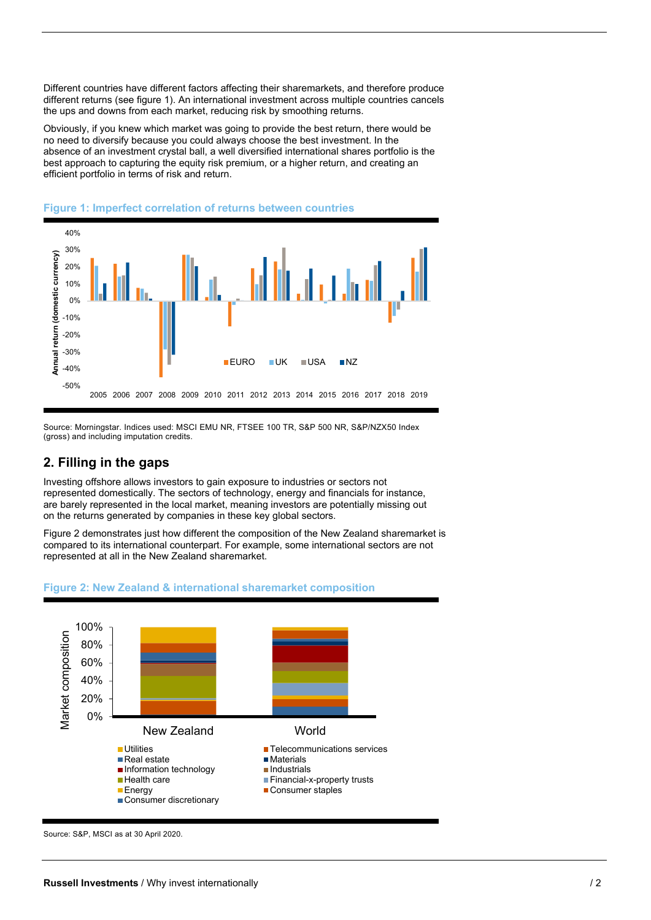Different countries have different factors affecting their sharemarkets, and therefore produce different returns (see figure 1). An international investment across multiple countries cancels the ups and downs from each market, reducing risk by smoothing returns.

Obviously, if you knew which market was going to provide the best return, there would be no need to diversify because you could always choose the best investment. In the absence of an investment crystal ball, a well diversified international shares portfolio is the best approach to capturing the equity risk premium, or a higher return, and creating an efficient portfolio in terms of risk and return.



#### **Figure 1: Imperfect correlation of returns between countries**

Source: Morningstar. Indices used: MSCI EMU NR, FTSEE 100 TR, S&P 500 NR, S&P/NZX50 Index (gross) and including imputation credits.

## **2. Filling in the gaps**

Investing offshore allows investors to gain exposure to industries or sectors not represented domestically. The sectors of technology, energy and financials for instance, are barely represented in the local market, meaning investors are potentially missing out on the returns generated by companies in these key global sectors.

Figure 2 demonstrates just how different the composition of the New Zealand sharemarket is compared to its international counterpart. For example, some international sectors are not represented at all in the New Zealand sharemarket.

#### **Figure 2: New Zealand & international sharemarket composition**



Source: S&P, MSCI as at 30 April 2020.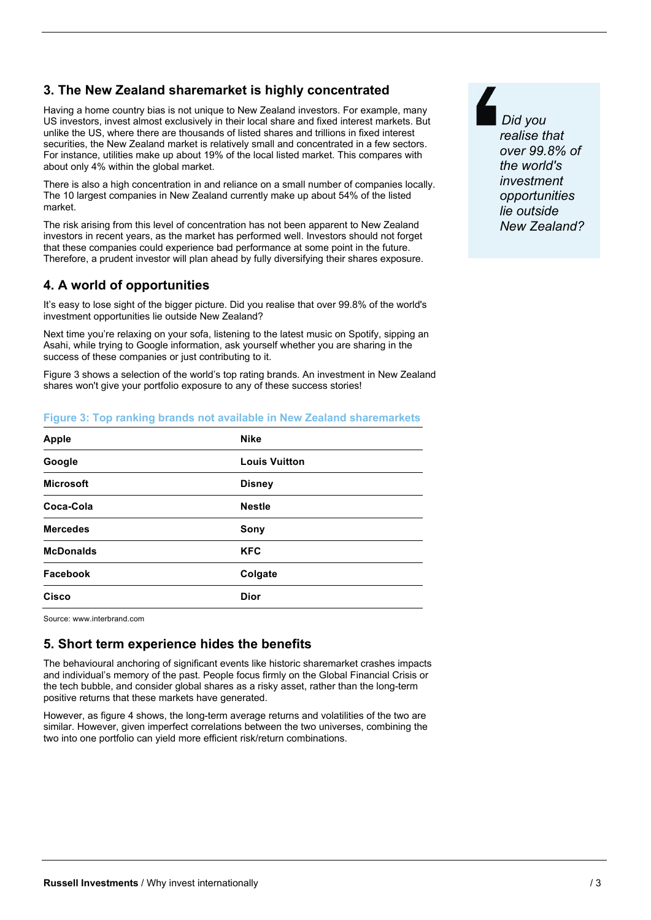## **3. The New Zealand sharemarket is highly concentrated**

Having a home country bias is not unique to New Zealand investors. For example, many US investors, invest almost exclusively in their local share and fixed interest markets. But unlike the US, where there are thousands of listed shares and trillions in fixed interest securities, the New Zealand market is relatively small and concentrated in a few sectors. For instance, utilities make up about 19% of the local listed market. This compares with about only 4% within the global market.

There is also a high concentration in and reliance on a small number of companies locally. The 10 largest companies in New Zealand currently make up about 54% of the listed market.

The risk arising from this level of concentration has not been apparent to New Zealand investors in recent years, as the market has performed well. Investors should not forget that these companies could experience bad performance at some point in the future. Therefore, a prudent investor will plan ahead by fully diversifying their shares exposure.

## **4. A world of opportunities**

It's easy to lose sight of the bigger picture. Did you realise that over 99.8% of the world's investment opportunities lie outside New Zealand?

Next time you're relaxing on your sofa, listening to the latest music on Spotify, sipping an Asahi, while trying to Google information, ask yourself whether you are sharing in the success of these companies or just contributing to it.

Figure 3 shows a selection of the world's top rating brands. An investment in New Zealand shares won't give your portfolio exposure to any of these success stories!

#### **Figure 3: Top ranking brands not available in New Zealand sharemarkets**

| <b>Apple</b>     | <b>Nike</b>          |
|------------------|----------------------|
| Google           | <b>Louis Vuitton</b> |
| <b>Microsoft</b> | <b>Disney</b>        |
| Coca-Cola        | <b>Nestle</b>        |
| <b>Mercedes</b>  | Sony                 |
| <b>McDonalds</b> | <b>KFC</b>           |
| Facebook         | Colgate              |
| <b>Cisco</b>     | <b>Dior</b>          |
|                  |                      |

Source: www.interbrand.com

### **5. Short term experience hides the benefits**

The behavioural anchoring of significant events like historic sharemarket crashes impacts and individual's memory of the past. People focus firmly on the Global Financial Crisis or the tech bubble, and consider global shares as a risky asset, rather than the long-term positive returns that these markets have generated.

However, as figure 4 shows, the long-term average returns and volatilities of the two are similar. However, given imperfect correlations between the two universes, combining the two into one portfolio can yield more efficient risk/return combinations.

 *Did you realise that over 99.8% of the world's investment opportunities lie outside New Zealand?*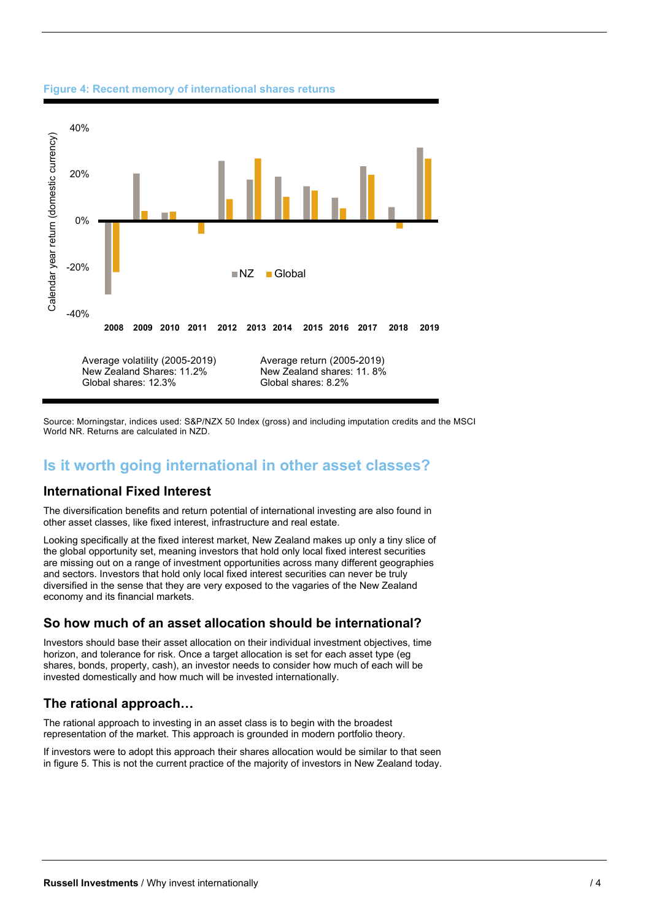

#### **Figure 4: Recent memory of international shares returns**

Source: Morningstar, indices used: S&P/NZX 50 Index (gross) and including imputation credits and the MSCI World NR. Returns are calculated in NZD.

## **Is it worth going international in other asset classes?**

#### **International Fixed Interest**

The diversification benefits and return potential of international investing are also found in other asset classes, like fixed interest, infrastructure and real estate.

Looking specifically at the fixed interest market, New Zealand makes up only a tiny slice of the global opportunity set, meaning investors that hold only local fixed interest securities are missing out on a range of investment opportunities across many different geographies and sectors. Investors that hold only local fixed interest securities can never be truly diversified in the sense that they are very exposed to the vagaries of the New Zealand economy and its financial markets.

#### **So how much of an asset allocation should be international?**

Investors should base their asset allocation on their individual investment objectives, time horizon, and tolerance for risk. Once a target allocation is set for each asset type (eg shares, bonds, property, cash), an investor needs to consider how much of each will be invested domestically and how much will be invested internationally.

### **The rational approach…**

The rational approach to investing in an asset class is to begin with the broadest representation of the market. This approach is grounded in modern portfolio theory.

If investors were to adopt this approach their shares allocation would be similar to that seen in figure 5. This is not the current practice of the majority of investors in New Zealand today.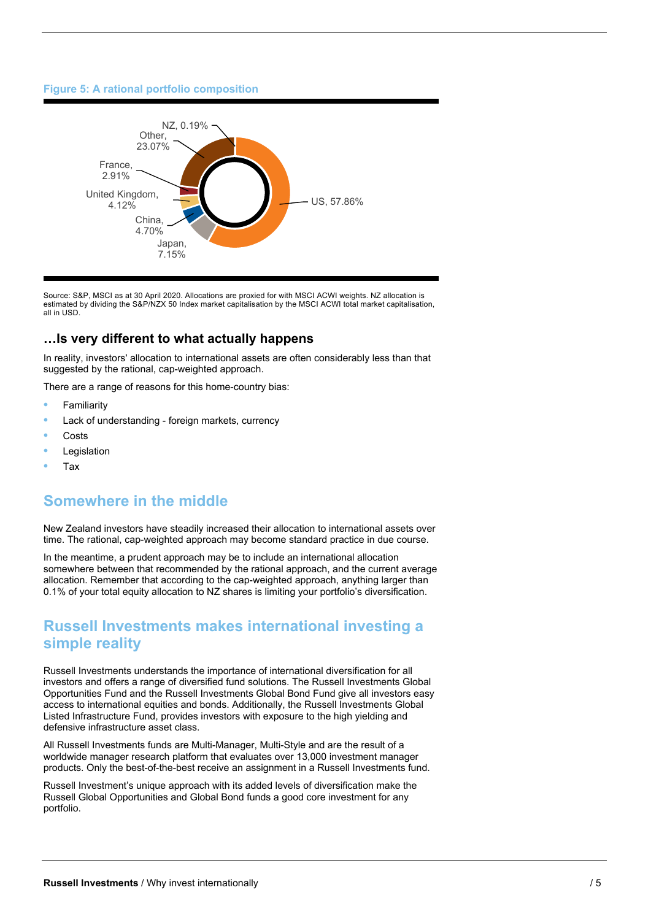#### **Figure 5: A rational portfolio composition**



Source: S&P, MSCI as at 30 April 2020. Allocations are proxied for with MSCI ACWI weights. NZ allocation is estimated by dividing the S&P/NZX 50 Index market capitalisation by the MSCI ACWI total market capitalisation, all in USD.

### **…Is very different to what actually happens**

In reality, investors' allocation to international assets are often considerably less than that suggested by the rational, cap-weighted approach.

There are a range of reasons for this home-country bias:

- Familiarity
- Lack of understanding foreign markets, currency
- **Costs**
- Legislation
- Tax

# **Somewhere in the middle**

New Zealand investors have steadily increased their allocation to international assets over time. The rational, cap-weighted approach may become standard practice in due course.

In the meantime, a prudent approach may be to include an international allocation somewhere between that recommended by the rational approach, and the current average allocation. Remember that according to the cap-weighted approach, anything larger than 0.1% of your total equity allocation to NZ shares is limiting your portfolio's diversification.

## **Russell Investments makes international investing a simple reality**

Russell Investments understands the importance of international diversification for all investors and offers a range of diversified fund solutions. The Russell Investments Global Opportunities Fund and the Russell Investments Global Bond Fund give all investors easy access to international equities and bonds. Additionally, the Russell Investments Global Listed Infrastructure Fund, provides investors with exposure to the high yielding and defensive infrastructure asset class.

All Russell Investments funds are Multi-Manager, Multi-Style and are the result of a worldwide manager research platform that evaluates over 13,000 investment manager products. Only the best-of-the-best receive an assignment in a Russell Investments fund.

Russell Investment's unique approach with its added levels of diversification make the Russell Global Opportunities and Global Bond funds a good core investment for any portfolio.